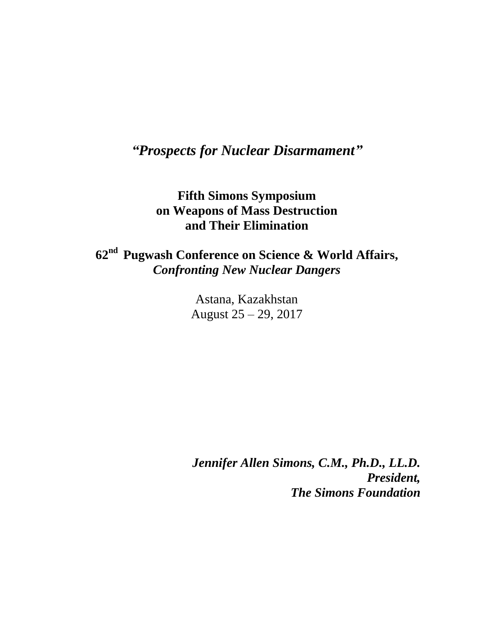## *"Prospects for Nuclear Disarmament"*

## **Fifth Simons Symposium on Weapons of Mass Destruction and Their Elimination**

## **62 nd Pugwash Conference on Science & World Affairs,** *Confronting New Nuclear Dangers*

Astana, Kazakhstan August 25 – 29, 2017

*Jennifer Allen Simons, C.M., Ph.D., LL.D. President, The Simons Foundation*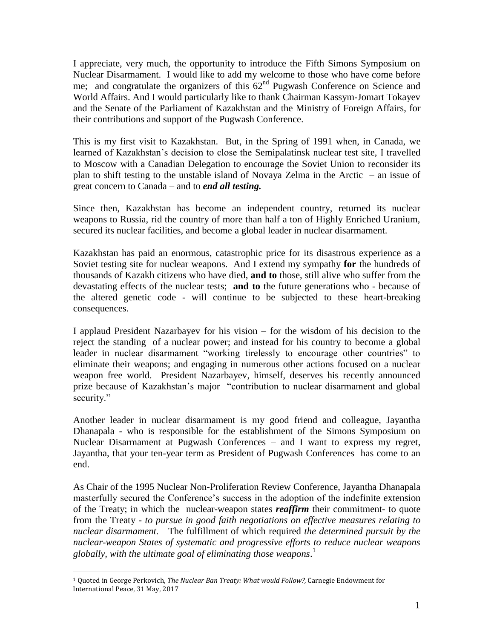I appreciate, very much, the opportunity to introduce the Fifth Simons Symposium on Nuclear Disarmament. I would like to add my welcome to those who have come before me; and congratulate the organizers of this  $62<sup>nd</sup>$  Pugwash Conference on Science and World Affairs. And I would particularly like to thank Chairman Kassym-Jomart Tokayev and the Senate of the Parliament of Kazakhstan and the Ministry of Foreign Affairs, for their contributions and support of the Pugwash Conference.

This is my first visit to Kazakhstan. But, in the Spring of 1991 when, in Canada, we learned of Kazakhstan's decision to close the Semipalatinsk nuclear test site, I travelled to Moscow with a Canadian Delegation to encourage the Soviet Union to reconsider its plan to shift testing to the unstable island of Novaya Zelma in the Arctic – an issue of great concern to Canada – and to *end all testing.*

Since then, Kazakhstan has become an independent country, returned its nuclear weapons to Russia, rid the country of more than half a ton of Highly Enriched Uranium, secured its nuclear facilities, and become a global leader in nuclear disarmament.

Kazakhstan has paid an enormous, catastrophic price for its disastrous experience as a Soviet testing site for nuclear weapons. And I extend my sympathy **for** the hundreds of thousands of Kazakh citizens who have died, **and to** those, still alive who suffer from the devastating effects of the nuclear tests; **and to** the future generations who - because of the altered genetic code - will continue to be subjected to these heart-breaking consequences.

I applaud President Nazarbayev for his vision – for the wisdom of his decision to the reject the standing of a nuclear power; and instead for his country to become a global leader in nuclear disarmament "working tirelessly to encourage other countries" to eliminate their weapons; and engaging in numerous other actions focused on a nuclear weapon free world. President Nazarbayev, himself, deserves his recently announced prize because of Kazakhstan's major "contribution to nuclear disarmament and global security."

Another leader in nuclear disarmament is my good friend and colleague, Jayantha Dhanapala - who is responsible for the establishment of the Simons Symposium on Nuclear Disarmament at Pugwash Conferences – and I want to express my regret, Jayantha, that your ten-year term as President of Pugwash Conferences has come to an end.

As Chair of the 1995 Nuclear Non-Proliferation Review Conference, Jayantha Dhanapala masterfully secured the Conference's success in the adoption of the indefinite extension of the Treaty; in which the nuclear-weapon states *reaffirm* their commitment- to quote from the Treaty - *to pursue in good faith negotiations on effective measures relating to nuclear disarmament.* The fulfillment of which required *the determined pursuit by the nuclear-weapon States of systematic and progressive efforts to reduce nuclear weapons globally, with the ultimate goal of eliminating those weapons*. 1

1

<sup>1</sup> Quoted in George Perkovich, *The Nuclear Ban Treaty: What would Follow?,* Carnegie Endowment for International Peace, 31 May, 2017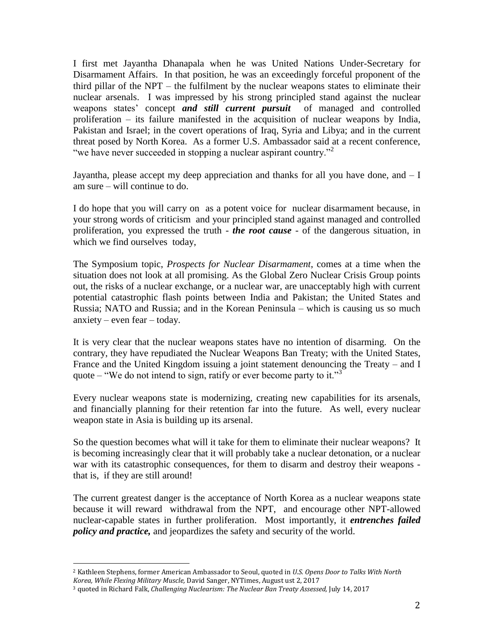I first met Jayantha Dhanapala when he was United Nations Under-Secretary for Disarmament Affairs. In that position, he was an exceedingly forceful proponent of the third pillar of the NPT – the fulfilment by the nuclear weapons states to eliminate their nuclear arsenals. I was impressed by his strong principled stand against the nuclear weapons states' concept *and still current pursuit* of managed and controlled proliferation – its failure manifested in the acquisition of nuclear weapons by India, Pakistan and Israel; in the covert operations of Iraq, Syria and Libya; and in the current threat posed by North Korea. As a former U.S. Ambassador said at a recent conference, "we have never succeeded in stopping a nuclear aspirant country."<sup>2</sup>

Jayantha, please accept my deep appreciation and thanks for all you have done, and  $-I$ am sure – will continue to do.

I do hope that you will carry on as a potent voice for nuclear disarmament because, in your strong words of criticism and your principled stand against managed and controlled proliferation, you expressed the truth - *the root cause* - of the dangerous situation, in which we find ourselves today,

The Symposium topic, *Prospects for Nuclear Disarmament*, comes at a time when the situation does not look at all promising. As the Global Zero Nuclear Crisis Group points out, the risks of a nuclear exchange, or a nuclear war, are unacceptably high with current potential catastrophic flash points between India and Pakistan; the United States and Russia; NATO and Russia; and in the Korean Peninsula – which is causing us so much anxiety – even fear – today.

It is very clear that the nuclear weapons states have no intention of disarming. On the contrary, they have repudiated the Nuclear Weapons Ban Treaty; with the United States, France and the United Kingdom issuing a joint statement denouncing the Treaty – and I quote – "We do not intend to sign, ratify or ever become party to it."<sup>3</sup>

Every nuclear weapons state is modernizing, creating new capabilities for its arsenals, and financially planning for their retention far into the future. As well, every nuclear weapon state in Asia is building up its arsenal.

So the question becomes what will it take for them to eliminate their nuclear weapons? It is becoming increasingly clear that it will probably take a nuclear detonation, or a nuclear war with its catastrophic consequences, for them to disarm and destroy their weapons that is, if they are still around!

The current greatest danger is the acceptance of North Korea as a nuclear weapons state because it will reward withdrawal from the NPT, and encourage other NPT-allowed nuclear-capable states in further proliferation. Most importantly, it *entrenches failed policy and practice,* and jeopardizes the safety and security of the world.

1

<sup>2</sup> Kathleen Stephens, former American Ambassador to Seoul, quoted in *U.S. Opens Door to Talks With North Korea, While Flexing Military Muscle,* David Sanger, NYTimes, August ust 2, 2017

<sup>3</sup> quoted in Richard Falk, *Challenging Nuclearism: The Nuclear Ban Treaty Assessed,* July 14, 2017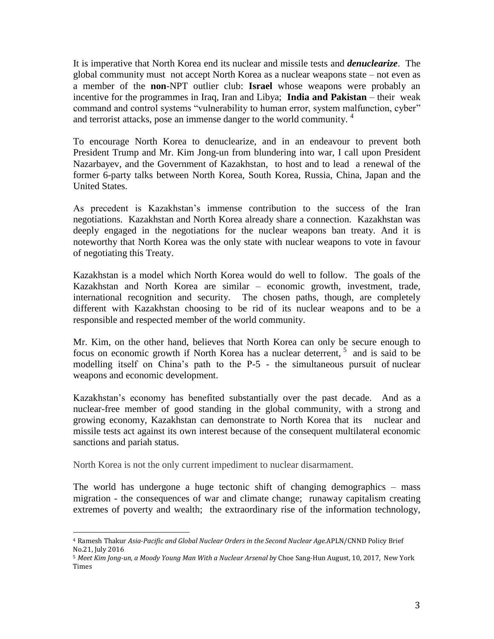It is imperative that North Korea end its nuclear and missile tests and *denuclearize*. The global community must not accept North Korea as a nuclear weapons state – not even as a member of the **non**-NPT outlier club: **Israel** whose weapons were probably an incentive for the programmes in Iraq, Iran and Libya; **India and Pakistan** – their weak command and control systems "vulnerability to human error, system malfunction, cyber" and terrorist attacks, pose an immense danger to the world community. 4

To encourage North Korea to denuclearize, and in an endeavour to prevent both President Trump and Mr. Kim Jong-un from blundering into war, I call upon President Nazarbayev, and the Government of Kazakhstan, to host and to lead a renewal of the former 6-party talks between North Korea, South Korea, Russia, China, Japan and the United States.

As precedent is Kazakhstan's immense contribution to the success of the Iran negotiations. Kazakhstan and North Korea already share a connection. Kazakhstan was deeply engaged in the negotiations for the nuclear weapons ban treaty. And it is noteworthy that North Korea was the only state with nuclear weapons to vote in favour of negotiating this Treaty.

Kazakhstan is a model which North Korea would do well to follow. The goals of the Kazakhstan and North Korea are similar – economic growth, investment, trade, international recognition and security. The chosen paths, though, are completely different with Kazakhstan choosing to be rid of its nuclear weapons and to be a responsible and respected member of the world community.

Mr. Kim, on the other hand, believes that North Korea can only be secure enough to focus on economic growth if North Korea has a nuclear deterrent, <sup>5</sup> and is said to be modelling itself on China's path to the P-5 - the simultaneous pursuit of nuclear weapons and economic development.

Kazakhstan's economy has benefited substantially over the past decade. And as a nuclear-free member of good standing in the global community, with a strong and growing economy, Kazakhstan can demonstrate to North Korea that its nuclear and missile tests act against its own interest because of the consequent multilateral economic sanctions and pariah status.

North Korea is not the only current impediment to nuclear disarmament.

1

The world has undergone a huge tectonic shift of changing demographics – mass migration - the consequences of war and climate change; runaway capitalism creating extremes of poverty and wealth; the extraordinary rise of the information technology,

<sup>4</sup> Ramesh Thakur *Asia-Pacific and Global Nuclear Orders in the Second Nuclear Age.*APLN/CNND Policy Brief No.21, July 2016

<sup>5</sup> *Meet Kim Jong-un, a Moody Young Man With a Nuclear Arsenal b*y Choe Sang-Hun August, 10, 2017, New York Times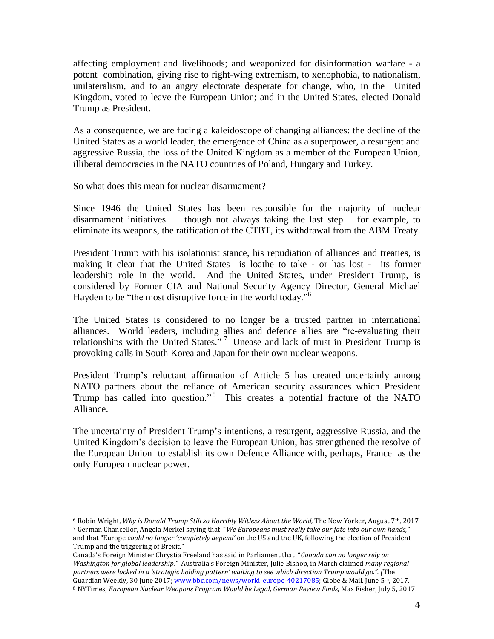affecting employment and livelihoods; and weaponized for disinformation warfare - a potent combination, giving rise to right-wing extremism, to xenophobia, to nationalism, unilateralism, and to an angry electorate desperate for change, who, in the United Kingdom, voted to leave the European Union; and in the United States, elected Donald Trump as President.

As a consequence, we are facing a kaleidoscope of changing alliances: the decline of the United States as a world leader, the emergence of China as a superpower, a resurgent and aggressive Russia, the loss of the United Kingdom as a member of the European Union, illiberal democracies in the NATO countries of Poland, Hungary and Turkey.

So what does this mean for nuclear disarmament?

<u>.</u>

Since 1946 the United States has been responsible for the majority of nuclear disarmament initiatives – though not always taking the last step – for example, to eliminate its weapons, the ratification of the CTBT, its withdrawal from the ABM Treaty.

President Trump with his isolationist stance, his repudiation of alliances and treaties, is making it clear that the United States is loathe to take - or has lost - its former leadership role in the world. And the United States, under President Trump, is considered by Former CIA and National Security Agency Director, General Michael Hayden to be "the most disruptive force in the world today."<sup>6</sup>

The United States is considered to no longer be a trusted partner in international alliances. World leaders, including allies and defence allies are "re-evaluating their relationships with the United States."<sup>7</sup> Unease and lack of trust in President Trump is provoking calls in South Korea and Japan for their own nuclear weapons.

President Trump's reluctant affirmation of Article 5 has created uncertainly among NATO partners about the reliance of American security assurances which President Trump has called into question."<sup>8</sup> This creates a potential fracture of the NATO Alliance.

The uncertainty of President Trump's intentions, a resurgent, aggressive Russia, and the United Kingdom's decision to leave the European Union, has strengthened the resolve of the European Union to establish its own Defence Alliance with, perhaps, France as the only European nuclear power.

<sup>6</sup> Robin Wright, *Why is Donald Trump Still so Horribly Witless About the World,* The New Yorker, August 7th, 2017 <sup>7</sup> German Chancellor, Angela Merkel saying that "*We Europeans must really take our fate into our own hands,"*  and that "Europe *could no longer 'completely depend'* on the US and the UK, following the election of President Trump and the triggering of Brexit."

Canada's Foreign Minister Chrystia Freeland has said in Parliament that "*Canada can no longer rely on Washington for global leadership."* Australia's Foreign Minister, Julie Bishop, in March claimed *many regional partners were locked in a 'strategic holding pattern' waiting to see which direction Trump would go.". (*The Guardian Weekly, 30 June 2017[; www.bbc.com/news/world-europe-40217085;](http://www.bbc.com/news/world-europe-40217085) Globe & Mail. June 5<sup>th</sup>, 2017.

<sup>8</sup> NYTimes, *European Nuclear Weapons Program Would be Legal, German Review Finds,* Max Fisher, July 5, 2017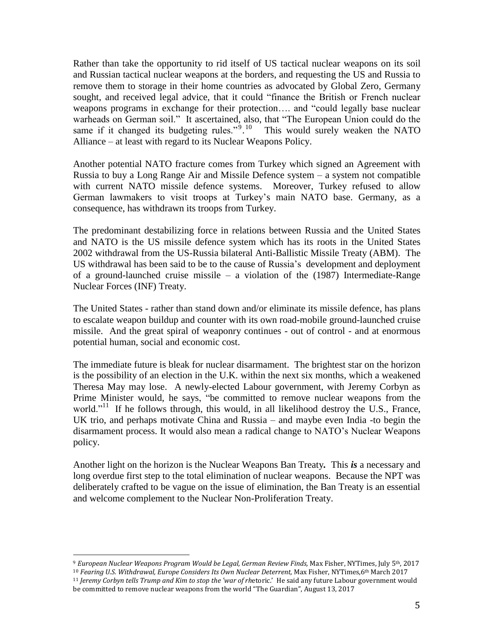Rather than take the opportunity to rid itself of US tactical nuclear weapons on its soil and Russian tactical nuclear weapons at the borders, and requesting the US and Russia to remove them to storage in their home countries as advocated by Global Zero, Germany sought, and received legal advice, that it could "finance the British or French nuclear weapons programs in exchange for their protection…. and "could legally base nuclear warheads on German soil." It ascertained, also, that "The European Union could do the same if it changed its budgeting rules."<sup>9</sup>.<sup>10</sup> This would surely weaken the NATO Alliance – at least with regard to its Nuclear Weapons Policy.

Another potential NATO fracture comes from Turkey which signed an Agreement with Russia to buy a Long Range Air and Missile Defence system – a system not compatible with current NATO missile defence systems. Moreover, Turkey refused to allow German lawmakers to visit troops at Turkey's main NATO base. Germany, as a consequence, has withdrawn its troops from Turkey.

The predominant destabilizing force in relations between Russia and the United States and NATO is the US missile defence system which has its roots in the United States 2002 withdrawal from the US-Russia bilateral Anti-Ballistic Missile Treaty (ABM). The US withdrawal has been said to be to the cause of Russia's development and deployment of a ground-launched cruise missile – a violation of the (1987) Intermediate-Range Nuclear Forces (INF) Treaty.

The United States - rather than stand down and/or eliminate its missile defence, has plans to escalate weapon buildup and counter with its own road-mobile ground-launched cruise missile. And the great spiral of weaponry continues - out of control - and at enormous potential human, social and economic cost.

The immediate future is bleak for nuclear disarmament. The brightest star on the horizon is the possibility of an election in the U.K. within the next six months, which a weakened Theresa May may lose. A newly-elected Labour government, with Jeremy Corbyn as Prime Minister would, he says, "be committed to remove nuclear weapons from the world."<sup>11</sup> If he follows through, this would, in all likelihood destroy the U.S., France, UK trio, and perhaps motivate China and Russia – and maybe even India -to begin the disarmament process. It would also mean a radical change to NATO's Nuclear Weapons policy.

Another light on the horizon is the Nuclear Weapons Ban Treaty*.* This *is* a necessary and long overdue first step to the total elimination of nuclear weapons. Because the NPT was deliberately crafted to be vague on the issue of elimination, the Ban Treaty is an essential and welcome complement to the Nuclear Non-Proliferation Treaty.

<sup>1</sup> <sup>9</sup> *European Nuclear Weapons Program Would be Legal, German Review Finds,* Max Fisher, NYTimes, July 5th, 2017

<sup>10</sup> *Fearing U.S. Withdrawal, Europe Considers Its Own Nuclear Deterrent,* Max Fisher, NYTimes,6th March 2017 <sup>11</sup> *Jeremy Corbyn tells Trump and Kim to stop the 'war of rh*etoric.' He said any future Labour government would be committed to remove nuclear weapons from the world "The Guardian", August 13, 2017